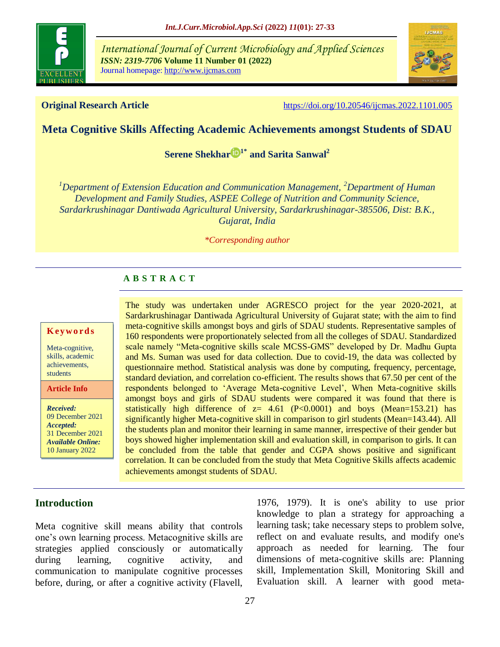

*International Journal of Current Microbiology and Applied Sciences ISSN: 2319-7706* **Volume 11 Number 01 (2022)**  Journal homepage: http://www.ijcmas.com



**Original Research Article** <https://doi.org/10.20546/ijcmas.2022.1101.005>

## **Meta Cognitive Skills Affecting Academic Achievements amongst Students of SDAU**

**[Serene Shekhar](https://orcid.org/0000-0001-6733-2200) 1\* and Sarita Sanwal<sup>2</sup>**

*<sup>1</sup>Department of Extension Education and Communication Management, <sup>2</sup>Department of Human Development and Family Studies, ASPEE College of Nutrition and Community Science, Sardarkrushinagar Dantiwada Agricultural University, Sardarkrushinagar-385506, Dist: B.K., Gujarat, India*

*\*Corresponding author*

## **A B S T R A C T**

#### **K ey w o rd s**

Meta-cognitive, skills, academic achievements, students

**Article Info**

*Received:*  09 December 2021 *Accepted:*  31 December 2021 *Available Online:* 10 January 2022

The study was undertaken under AGRESCO project for the year 2020-2021, at Sardarkrushinagar Dantiwada Agricultural University of Gujarat state; with the aim to find meta-cognitive skills amongst boys and girls of SDAU students. Representative samples of 160 respondents were proportionately selected from all the colleges of SDAU. Standardized scale namely "Meta-cognitive skills scale MCSS-GMS" developed by Dr. Madhu Gupta and Ms. Suman was used for data collection. Due to covid-19, the data was collected by questionnaire method. Statistical analysis was done by computing, frequency, percentage, standard deviation, and correlation co-efficient. The results shows that 67.50 per cent of the respondents belonged to "Average Meta-cognitive Level", When Meta-cognitive skills amongst boys and girls of SDAU students were compared it was found that there is statistically high difference of  $z=$  4.61 (P<0.0001) and boys (Mean=153.21) has significantly higher Meta-cognitive skill in comparison to girl students (Mean=143.44). All the students plan and monitor their learning in same manner, irrespective of their gender but boys showed higher implementation skill and evaluation skill, in comparison to girls. It can be concluded from the table that gender and CGPA shows positive and significant correlation. It can be concluded from the study that Meta Cognitive Skills affects academic achievements amongst students of SDAU.

## **Introduction**

Meta cognitive skill means ability that controls one"s own learning process. Metacognitive skills are strategies applied consciously or automatically during learning, cognitive activity, and communication to manipulate cognitive processes before, during, or after a cognitive activity (Flavell,

[1976,](https://link.springer.com/referenceworkentry/10.1007%2F978-0-387-79948-3_897#CR13423) [1979\)](https://link.springer.com/referenceworkentry/10.1007%2F978-0-387-79948-3_897#CR13424). It is one's ability to use prior knowledge to plan a strategy for approaching a learning task; take necessary steps to problem solve, reflect on and evaluate results, and modify one's approach as needed for learning. The four dimensions of meta-cognitive skills are: Planning skill, Implementation Skill, Monitoring Skill and Evaluation skill. A learner with good meta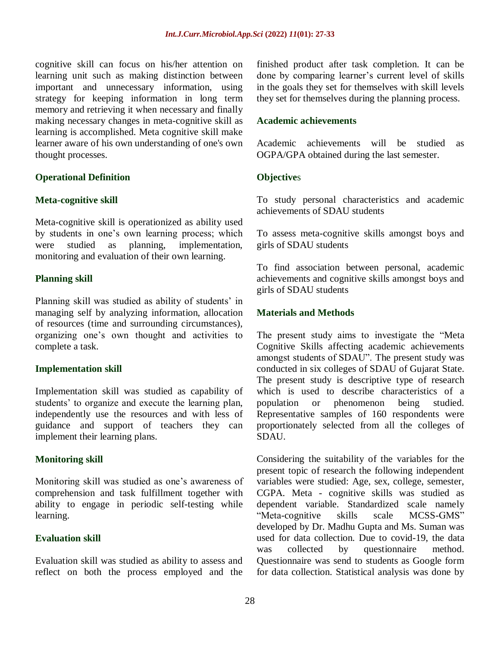cognitive skill can focus on his/her attention on learning unit such as making distinction between important and unnecessary information, using strategy for keeping information in long term memory and retrieving it when necessary and finally making necessary changes in meta-cognitive skill as learning is accomplished. Meta cognitive skill make learner aware of his own understanding of one's own thought processes.

## **Operational Definition**

#### **Meta-cognitive skill**

Meta-cognitive skill is operationized as ability used by students in one"s own learning process; which were studied as planning, implementation, monitoring and evaluation of their own learning.

## **Planning skill**

Planning skill was studied as ability of students' in managing self by analyzing information, allocation of resources (time and surrounding circumstances), organizing one"s own thought and activities to complete a task.

#### **Implementation skill**

Implementation skill was studied as capability of students' to organize and execute the learning plan, independently use the resources and with less of guidance and support of teachers they can implement their learning plans.

## **Monitoring skill**

Monitoring skill was studied as one"s awareness of comprehension and task fulfillment together with ability to engage in periodic self-testing while learning.

#### **Evaluation skill**

Evaluation skill was studied as ability to assess and reflect on both the process employed and the finished product after task completion. It can be done by comparing learner's current level of skills in the goals they set for themselves with skill levels they set for themselves during the planning process.

#### **Academic achievements**

Academic achievements will be studied as OGPA/GPA obtained during the last semester.

## **Objective**s

To study personal characteristics and academic achievements of SDAU students

To assess meta-cognitive skills amongst boys and girls of SDAU students

To find association between personal, academic achievements and cognitive skills amongst boys and girls of SDAU students

## **Materials and Methods**

The present study aims to investigate the "Meta Cognitive Skills affecting academic achievements amongst students of SDAU". The present study was conducted in six colleges of SDAU of Gujarat State. The present study is descriptive type of research which is used to describe characteristics of a population or phenomenon being studied. Representative samples of 160 respondents were proportionately selected from all the colleges of SDAU.

Considering the suitability of the variables for the present topic of research the following independent variables were studied: Age, sex, college, semester, CGPA. Meta - cognitive skills was studied as dependent variable. Standardized scale namely "Meta-cognitive skills scale MCSS-GMS" developed by Dr. Madhu Gupta and Ms. Suman was used for data collection. Due to covid-19, the data was collected by questionnaire method. Questionnaire was send to students as Google form for data collection. Statistical analysis was done by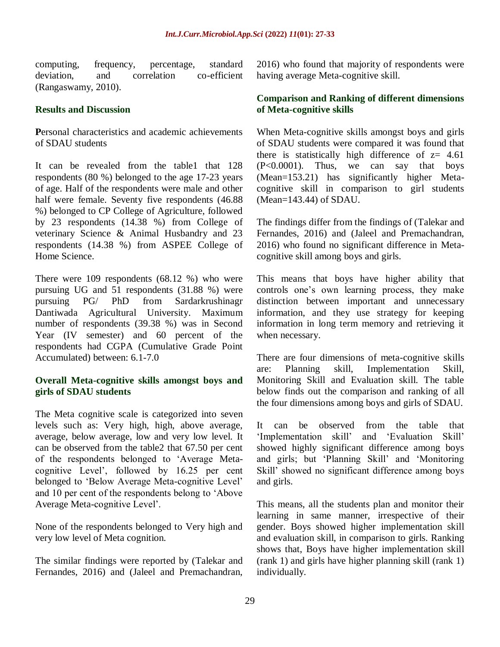computing, frequency, percentage, standard deviation, and correlation co-efficient (Rangaswamy, 2010).

## **Results and Discussion**

**P**ersonal characteristics and academic achievements of SDAU students

It can be revealed from the table1 that 128 respondents (80 %) belonged to the age 17-23 years of age. Half of the respondents were male and other half were female. Seventy five respondents (46.88 %) belonged to CP College of Agriculture, followed by 23 respondents (14.38 %) from College of veterinary Science & Animal Husbandry and 23 respondents (14.38 %) from ASPEE College of Home Science.

There were 109 respondents (68.12 %) who were pursuing UG and 51 respondents (31.88 %) were pursuing PG/ PhD from Sardarkrushinagr Dantiwada Agricultural University. Maximum number of respondents (39.38 %) was in Second Year (IV semester) and 60 percent of the respondents had CGPA (Cumulative Grade Point Accumulated) between: 6.1-7.0

## **Overall Meta-cognitive skills amongst boys and girls of SDAU students**

The Meta cognitive scale is categorized into seven levels such as: Very high, high, above average, average, below average, low and very low level. It can be observed from the table2 that 67.50 per cent of the respondents belonged to "Average Metacognitive Level", followed by 16.25 per cent belonged to "Below Average Meta-cognitive Level" and 10 per cent of the respondents belong to "Above Average Meta-cognitive Level".

None of the respondents belonged to Very high and very low level of Meta cognition.

The similar findings were reported by (Talekar and Fernandes, 2016) and (Jaleel and Premachandran,

2016) who found that majority of respondents were having average Meta-cognitive skill.

## **Comparison and Ranking of different dimensions of Meta-cognitive skills**

When Meta-cognitive skills amongst boys and girls of SDAU students were compared it was found that there is statistically high difference of  $z=$  4.61 (P<0.0001). Thus, we can say that boys (Mean=153.21) has significantly higher Metacognitive skill in comparison to girl students (Mean=143.44) of SDAU.

The findings differ from the findings of (Talekar and Fernandes, 2016) and (Jaleel and Premachandran, 2016) who found no significant difference in Metacognitive skill among boys and girls.

This means that boys have higher ability that controls one"s own learning process, they make distinction between important and unnecessary information, and they use strategy for keeping information in long term memory and retrieving it when necessary.

There are four dimensions of meta-cognitive skills are: Planning skill, Implementation Skill, Monitoring Skill and Evaluation skill. The table below finds out the comparison and ranking of all the four dimensions among boys and girls of SDAU.

It can be observed from the table that "Implementation skill" and "Evaluation Skill" showed highly significant difference among boys and girls; but "Planning Skill" and "Monitoring Skill" showed no significant difference among boys and girls.

This means, all the students plan and monitor their learning in same manner, irrespective of their gender. Boys showed higher implementation skill and evaluation skill, in comparison to girls. Ranking shows that, Boys have higher implementation skill (rank 1) and girls have higher planning skill (rank 1) individually.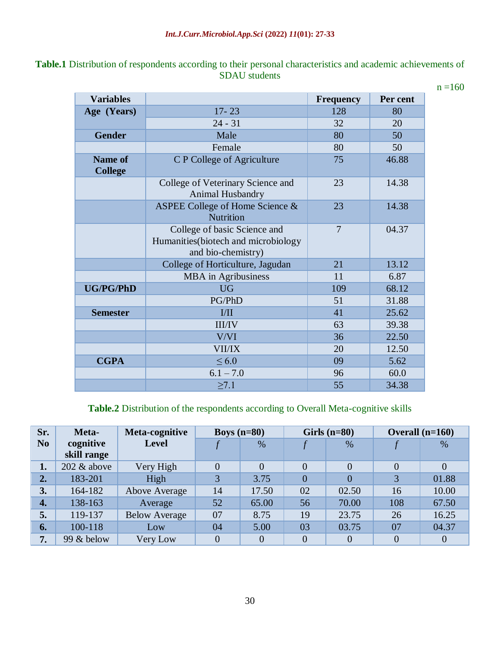| Table.1 Distribution of respondents according to their personal characteristics and academic achievements of |                      |  |  |
|--------------------------------------------------------------------------------------------------------------|----------------------|--|--|
|                                                                                                              | <b>SDAU</b> students |  |  |

 $n = 160$ 

| <b>Variables</b>                 |                                                                                            | <b>Frequency</b> | Per cent |
|----------------------------------|--------------------------------------------------------------------------------------------|------------------|----------|
| Age (Years)                      | $17 - 23$                                                                                  | 128              | 80       |
|                                  | $24 - 31$                                                                                  | 32               | 20       |
| <b>Gender</b>                    | Male                                                                                       | 80               | 50       |
|                                  | Female                                                                                     | 80               | 50       |
| <b>Name of</b><br><b>College</b> | <b>C P College of Agriculture</b>                                                          | 75               | 46.88    |
|                                  | College of Veterinary Science and<br>Animal Husbandry                                      | 23               | 14.38    |
|                                  | ASPEE College of Home Science &<br>Nutrition                                               | 23               | 14.38    |
|                                  | College of basic Science and<br>Humanities (biotech and microbiology<br>and bio-chemistry) | $\overline{7}$   | 04.37    |
|                                  | College of Horticulture, Jagudan                                                           | 21               | 13.12    |
|                                  | MBA in Agribusiness                                                                        | 11               | 6.87     |
| <b>UG/PG/PhD</b>                 | <b>UG</b>                                                                                  | 109              | 68.12    |
|                                  | PG/PhD                                                                                     | 51               | 31.88    |
| <b>Semester</b>                  | I/II                                                                                       | 41               | 25.62    |
|                                  | <b>III/IV</b>                                                                              | 63               | 39.38    |
|                                  | V/VI                                                                                       | 36               | 22.50    |
|                                  | <b>VII/IX</b>                                                                              | 20               | 12.50    |
| <b>CGPA</b>                      | $\leq 6.0$                                                                                 | 09               | 5.62     |
|                                  | $6.1 - 7.0$                                                                                | 96               | 60.0     |
|                                  | $\geq 7.1$                                                                                 | 55               | 34.38    |

**Table.2** Distribution of the respondents according to Overall Meta-cognitive skills

| Sr.              | Meta-          | Meta-cognitive       |                | Boys $(n=80)$ |                | Girls $(n=80)$ | Overall $(n=160)$ |                |
|------------------|----------------|----------------------|----------------|---------------|----------------|----------------|-------------------|----------------|
| N <sub>0</sub>   | cognitive      | <b>Level</b>         |                | $\%$          |                | %              |                   | %              |
|                  | skill range    |                      |                |               |                |                |                   |                |
| 1.               | $202 \&$ above | Very High            | $\Omega$       | 0             | $\overline{0}$ | $\overline{0}$ | $\overline{0}$    | $\Omega$       |
| 2.               | 183-201        | High                 | 3              | 3.75          | $\overline{0}$ | $\overline{0}$ | 3                 | 01.88          |
| 3.               | 164-182        | Above Average        | 14             | 17.50         | 02             | 02.50          | 16                | 10.00          |
| $\overline{4}$ . | 138-163        | Average              | 52             | 65.00         | 56             | 70.00          | 108               | 67.50          |
| 5.               | 119-137        | <b>Below Average</b> | 07             | 8.75          | 19             | 23.75          | 26                | 16.25          |
| 6.               | 100-118        | Low                  | 04             | 5.00          | 03             | 03.75          | 07                | 04.37          |
| 7.               | 99 & below     | Very Low             | $\overline{0}$ | 0             | $\overline{0}$ | $\overline{0}$ | $\overline{0}$    | $\overline{0}$ |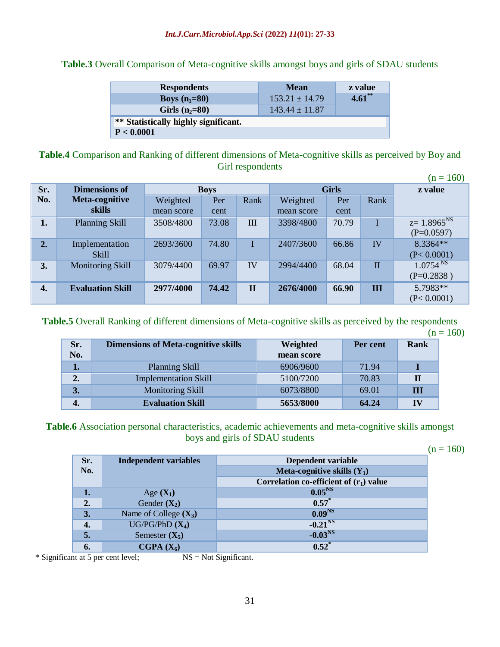**Table.3** Overall Comparison of Meta-cognitive skills amongst boys and girls of SDAU students

| <b>Respondents</b>                   | <b>Mean</b>        | z value   |
|--------------------------------------|--------------------|-----------|
| <b>Boys</b> $(n_1=80)$               | $153.21 \pm 14.79$ | $4.61$ ** |
| Girls $(n_2=80)$                     | $143.44 \pm 11.87$ |           |
| ** Statistically highly significant. |                    |           |
| P < 0.0001                           |                    |           |

**Table.4** Comparison and Ranking of different dimensions of Meta-cognitive skills as perceived by Boy and Girl respondents  $(n - 160)$ 

|                  | $(11 - 100)$            |             |       |              |            |         |              |                      |
|------------------|-------------------------|-------------|-------|--------------|------------|---------|--------------|----------------------|
| Sr.              | <b>Dimensions of</b>    | <b>Boys</b> |       | <b>Girls</b> |            | z value |              |                      |
| No.              | Meta-cognitive          | Weighted    | Per   | Rank         | Weighted   | Per     | Rank         |                      |
|                  | skills                  | mean score  | cent  |              | mean score | cent    |              |                      |
| 1.               | <b>Planning Skill</b>   | 3508/4800   | 73.08 | III          | 3398/4800  | 70.79   |              | $z=1.8965^{NS}$      |
|                  |                         |             |       |              |            |         |              | $(P=0.0597)$         |
| 2.               | Implementation          | 2693/3600   | 74.80 |              | 2407/3600  | 66.86   | IV           | 8.3364**             |
|                  | <b>Skill</b>            |             |       |              |            |         |              | (P< 0.0001)          |
| 3.               | <b>Monitoring Skill</b> | 3079/4400   | 69.97 | IV           | 2994/4400  | 68.04   | $\mathbf{I}$ | 1.0754 <sup>NS</sup> |
|                  |                         |             |       |              |            |         |              | $(P=0.2838)$         |
| $\overline{4}$ . | <b>Evaluation Skill</b> | 2977/4000   | 74.42 | $\mathbf{I}$ | 2676/4000  | 66.90   | Ш            | 5.7983**             |
|                  |                         |             |       |              |            |         |              | (P< 0.0001)          |

**Table.5** Overall Ranking of different dimensions of Meta-cognitive skills as perceived by the respondents  $(n = 160)$ 

| Sr.<br>No. | <b>Dimensions of Meta-cognitive skills</b> | Weighted<br>mean score | Per cent | Rank |
|------------|--------------------------------------------|------------------------|----------|------|
| 1.         | <b>Planning Skill</b>                      | 6906/9600              | 71.94    |      |
| 2.         | <b>Implementation Skill</b>                | 5100/7200              | 70.83    |      |
| 3.         | Monitoring Skill                           | 6073/8800              | 69.01    | Ш    |
|            | <b>Evaluation Skill</b>                    | 5653/8000              | 64.24    |      |

**Table.6** Association personal characteristics, academic achievements and meta-cognitive skills amongst boys and girls of SDAU students

 $(n = 160)$ 

| <b>Independent variables</b> | Dependent variable                        |
|------------------------------|-------------------------------------------|
|                              | Meta-cognitive skills $(Y_1)$             |
|                              | Correlation co-efficient of $(r_1)$ value |
| Age $(X_1)$                  | 0.05 <sup>NS</sup>                        |
| Gender $(X_2)$               | $0.57^*$                                  |
| Name of College $(X_3)$      | 0.09 <sup>NS</sup>                        |
| $UG/PG/PhD(X_4)$             | $-0.21^{NS}$                              |
| Semester $(X_5)$             | $-0.03^{NS}$                              |
| CGPA $(X_6)$                 | $0.52^*$                                  |
|                              |                                           |

\* Significant at 5 per cent level; NS = Not Significant.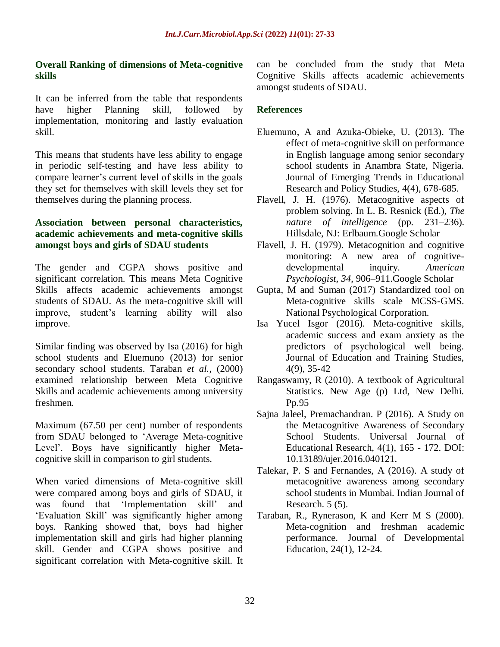## **Overall Ranking of dimensions of Meta-cognitive skills**

It can be inferred from the table that respondents have higher Planning skill, followed by implementation, monitoring and lastly evaluation skill.

This means that students have less ability to engage in periodic self-testing and have less ability to compare learner"s current level of skills in the goals they set for themselves with skill levels they set for themselves during the planning process.

## **Association between personal characteristics, academic achievements and meta-cognitive skills amongst boys and girls of SDAU students**

The gender and CGPA shows positive and significant correlation. This means Meta Cognitive Skills affects academic achievements amongst students of SDAU. As the meta-cognitive skill will improve, student"s learning ability will also improve.

Similar finding was observed by Isa (2016) for high school students and Eluemuno (2013) for senior secondary school students. Taraban *et al.,* (2000) examined relationship between Meta Cognitive Skills and academic achievements among university freshmen.

Maximum (67.50 per cent) number of respondents from SDAU belonged to "Average Meta-cognitive Level". Boys have significantly higher Metacognitive skill in comparison to girl students.

When varied dimensions of Meta-cognitive skill were compared among boys and girls of SDAU, it was found that "Implementation skill" and "Evaluation Skill" was significantly higher among boys. Ranking showed that, boys had higher implementation skill and girls had higher planning skill. Gender and CGPA shows positive and significant correlation with Meta-cognitive skill. It can be concluded from the study that Meta Cognitive Skills affects academic achievements amongst students of SDAU.

## **References**

- Eluemuno, A and Azuka-Obieke, U. (2013). The effect of meta-cognitive skill on performance in English language among senior secondary school students in Anambra State, Nigeria. Journal of Emerging Trends in Educational Research and Policy Studies, 4(4), 678-685.
- Flavell, J. H. (1976). Metacognitive aspects of problem solving. In L. B. Resnick (Ed.), *The nature of intelligence* (pp. 231–236). Hillsdale, NJ: Erlbaum[.Google Scholar](http://scholar.google.com/scholar_lookup?title=Metacognitive%20aspects%20of%20problem%20solving&author=J.%20H..%20Flavell&publication_year=1976)
- Flavell, J. H. (1979). Metacognition and cognitive monitoring: A new area of cognitivedevelopmental inquiry. *American Psychologist, 34*, 906–911[.Google Scholar](http://scholar.google.com/scholar_lookup?title=Metacognition%20and%20cognitive%20monitoring%3A%20A%20new%20area%20of%20cognitive-developmental%20inquiry&author=J.%20H..%20Flavell&journal=American%20Psychologist&volume=34&pages=906-911&publication_year=1979)
- Gupta, M and Suman (2017) Standardized tool on Meta-cognitive skills scale MCSS-GMS. National Psychological Corporation.
- Isa Yucel Isgor (2016). Meta-cognitive skills, academic success and exam anxiety as the predictors of psychological well being. Journal of Education and Training Studies, 4(9), 35-42
- Rangaswamy, R (2010). A textbook of Agricultural Statistics. New Age (p) Ltd, New Delhi. Pp.95
- Sajna Jaleel, Premachandran. P (2016). A Study on the Metacognitive Awareness of Secondary School Students. Universal Journal of Educational Research, 4(1), 165 - 172. DOI: 10.13189/ujer.2016.040121.
- Talekar, P. S and Fernandes, A (2016). A study of metacognitive awareness among secondary school students in Mumbai. Indian Journal of Research. 5 (5).
- Taraban, R., Rynerason, K and Kerr M S (2000). Meta-cognition and freshman academic performance. Journal of Developmental Education, 24(1), 12-24.